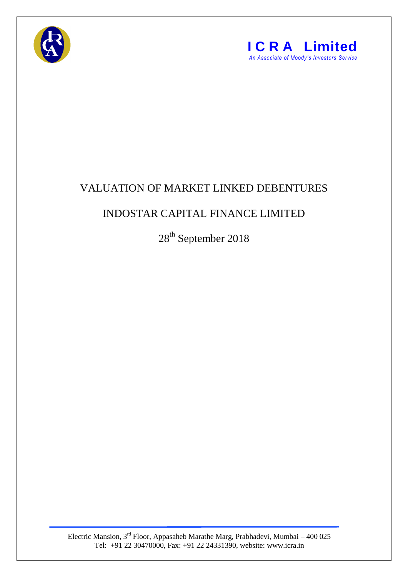



## VALUATION OF MARKET LINKED DEBENTURES

## INDOSTAR CAPITAL FINANCE LIMITED

28th September 2018